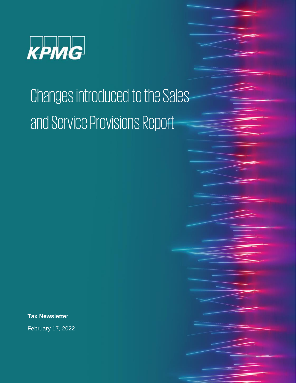

## Changes introduced to the Sales and Service Provisions Report

**Tax Newsletter**

February 17, 2022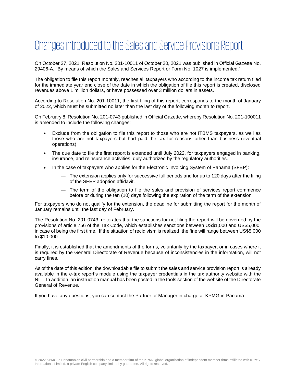## Changes introduced to the Sales and Service Provisions Report

On October 27, 2021, Resolution No. 201-10011 of October 20, 2021 was published in Official Gazette No. 29406-A, "By means of which the Sales and Services Report or Form No. 1027 is implemented."

The obligation to file this report monthly, reaches all taxpayers who according to the income tax return filed for the immediate year end close of the date in which the obligation of file this report is created, disclosed revenues above 1 million dollars, or have possessed over 3 million dollars in assets.

According to Resolution No. 201-10011, the first filing of this report, corresponds to the month of January of 2022, which must be submitted no later than the last day of the following month to report.

On February 8, Resolution No. 201-0743 published in Official Gazette, whereby Resolution No. 201-100011 is amended to include the following changes:

- Exclude from the obligation to file this report to those who are not ITBMS taxpayers, as well as those who are not taxpayers but had paid the tax for reasons other than business (eventual operations).
- The due date to file the first report is extended until July 2022, for taxpayers engaged in banking, insurance, and reinsurance activities, duly authorized by the regulatory authorities.
- In the case of taxpayers who applies for the Electronic Invoicing System of Panama (SFEP):
	- ― The extension applies only for successive full periods and for up to 120 days after the filing of the SFEP adoption affidavit.
	- ― The term of the obligation to file the sales and provision of services report commence before or during the ten (10) days following the expiration of the term of the extension.

For taxpayers who do not qualify for the extension, the deadline for submitting the report for the month of January remains until the last day of February.

The Resolution No. 201-0743, reiterates that the sanctions for not filing the report will be governed by the provisions of article 756 of the Tax Code, which establishes sanctions between US\$1,000 and US\$5,000, in case of being the first time. If the situation of recidivism is realized, the fine will range between US\$5,000 to \$10,000.

Finally, it is established that the amendments of the forms, voluntarily by the taxpayer, or in cases where it is required by the General Directorate of Revenue because of inconsistencies in the information, will not carry fines.

As of the date of this edition, the downloadable file to submit the sales and service provision report is already available in the e-tax report's module using the taxpayer credentials in the tax authority website with the NIT. In addition, an instruction manual has been posted in the tools section of the website of the Directorate General of Revenue.

If you have any questions, you can contact the Partner or Manager in charge at KPMG in Panama.